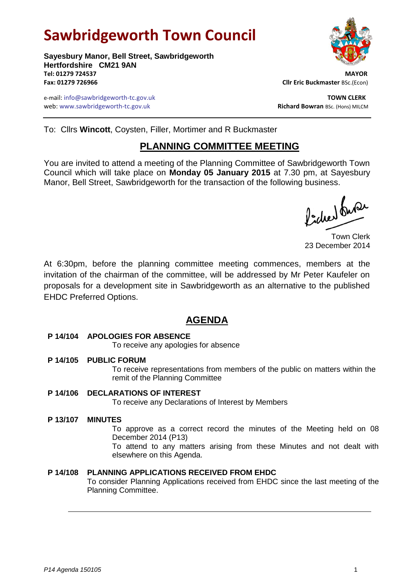# **Sawbridgeworth Town Council**



e-mail: info@sawbridgeworth-tc.gov.uk **TOWN CLERK** web: www.sawbridgeworth-tc.gov.uk **Richard Bowran** BSc. (Hons) MILCM



To: Cllrs **Wincott**, Coysten, Filler, Mortimer and R Buckmaster

# **PLANNING COMMITTEE MEETING**

You are invited to attend a meeting of the Planning Committee of Sawbridgeworth Town Council which will take place on **Monday 05 January 2015** at 7.30 pm, at Sayesbury Manor, Bell Street, Sawbridgeworth for the transaction of the following business.

fideer fuse

Town Clerk 23 December 2014

At 6:30pm, before the planning committee meeting commences, members at the invitation of the chairman of the committee, will be addressed by Mr Peter Kaufeler on proposals for a development site in Sawbridgeworth as an alternative to the published EHDC Preferred Options.

# **AGENDA**

#### **P 14/104 APOLOGIES FOR ABSENCE**

To receive any apologies for absence

**P 14/105 PUBLIC FORUM**

To receive representations from members of the public on matters within the remit of the Planning Committee

## **P 14/106 DECLARATIONS OF INTEREST**

To receive any Declarations of Interest by Members

#### **P 13/107 MINUTES**

To approve as a correct record the minutes of the Meeting held on 08 December 2014 (P13)

To attend to any matters arising from these Minutes and not dealt with elsewhere on this Agenda.

## **P 14/108 PLANNING APPLICATIONS RECEIVED FROM EHDC**

To consider Planning Applications received from EHDC since the last meeting of the Planning Committee.